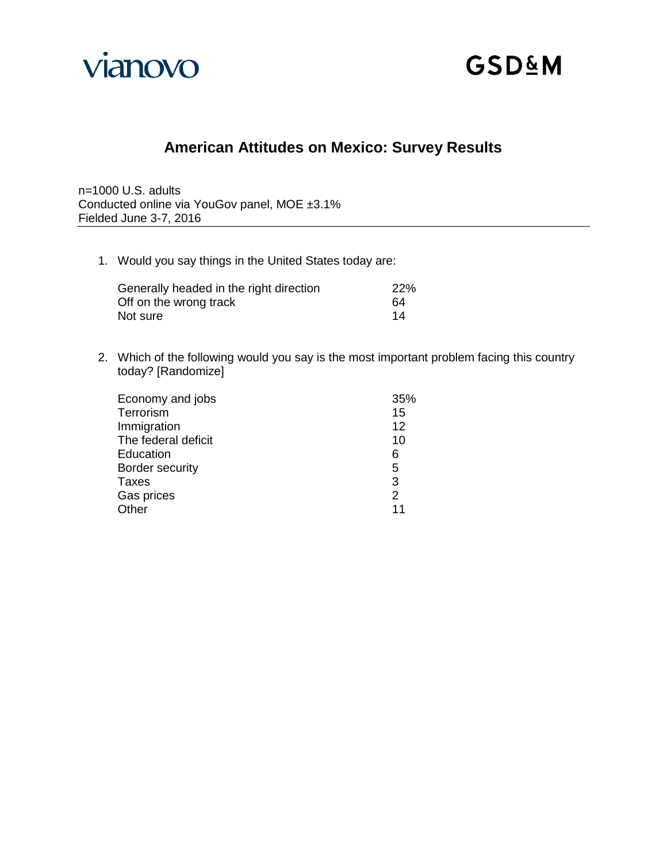

# **American Attitudes on Mexico: Survey Results**

n=1000 U.S. adults Conducted online via YouGov panel, MOE ±3.1% Fielded June 3-7, 2016

1. Would you say things in the United States today are:

| Generally headed in the right direction | <b>22%</b> |
|-----------------------------------------|------------|
| Off on the wrong track                  | 64         |
| Not sure                                | 14         |

2. Which of the following would you say is the most important problem facing this country today? [Randomize]

| Economy and jobs    | 35%           |
|---------------------|---------------|
| Terrorism           | 15            |
| Immigration         | 12            |
| The federal deficit | 10            |
| Education           | 6             |
| Border security     | 5             |
| <b>Taxes</b>        | 3             |
| Gas prices          | $\mathcal{P}$ |
| Other               | 11            |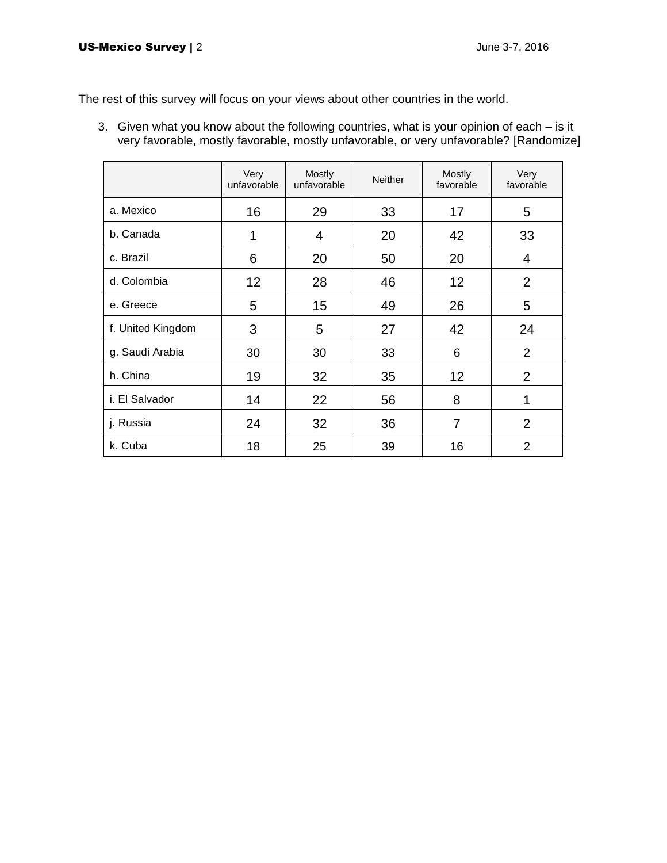The rest of this survey will focus on your views about other countries in the world.

3. Given what you know about the following countries, what is your opinion of each – is it very favorable, mostly favorable, mostly unfavorable, or very unfavorable? [Randomize]

|                   | Very<br>unfavorable | Mostly<br>unfavorable | <b>Neither</b> | Mostly<br>favorable | Very<br>favorable |
|-------------------|---------------------|-----------------------|----------------|---------------------|-------------------|
| a. Mexico         | 16                  | 29                    | 33             | 17                  | 5                 |
| b. Canada         | 1                   | 4                     | 20             | 42                  | 33                |
| c. Brazil         | 6                   | 20                    | 50             | 20                  | 4                 |
| d. Colombia       | 12                  | 28                    | 46             | 12                  | 2                 |
| e. Greece         | 5                   | 15                    | 49             | 26                  | 5                 |
| f. United Kingdom | 3                   | 5                     | 27             | 42                  | 24                |
| g. Saudi Arabia   | 30                  | 30                    | 33             | 6                   | 2                 |
| h. China          | 19                  | 32                    | 35             | 12                  | $\overline{2}$    |
| i. El Salvador    | 14                  | 22                    | 56             | 8                   | 1                 |
| j. Russia         | 24                  | 32                    | 36             | 7                   | 2                 |
| k. Cuba           | 18                  | 25                    | 39             | 16                  | $\overline{2}$    |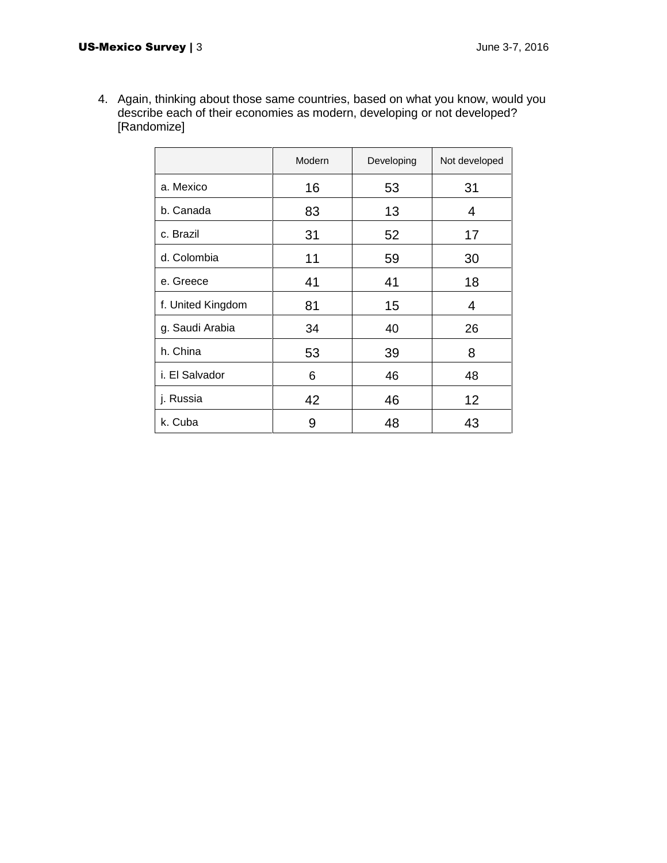4. Again, thinking about those same countries, based on what you know, would you describe each of their economies as modern, developing or not developed? [Randomize]

|                   | Modern | Developing | Not developed |
|-------------------|--------|------------|---------------|
| a. Mexico         | 16     | 53         | 31            |
| b. Canada         | 83     | 13         | 4             |
| c. Brazil         | 31     | 52         | 17            |
| d. Colombia       | 11     | 59         | 30            |
| e. Greece         | 41     | 41         | 18            |
| f. United Kingdom | 81     | 15         | 4             |
| g. Saudi Arabia   | 34     | 40         | 26            |
| h. China          | 53     | 39         | 8             |
| i. El Salvador    | 6      | 46         | 48            |
| j. Russia         | 42     | 46         | 12            |
| k. Cuba           | 9      | 48         | 43            |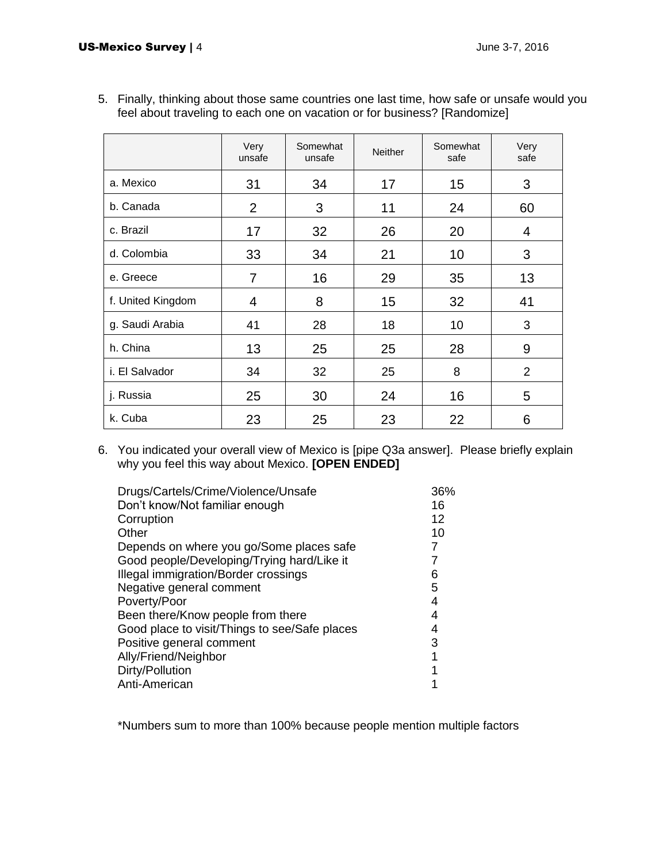|                   | Very<br>unsafe | Somewhat<br>unsafe | <b>Neither</b> | Somewhat<br>safe | Very<br>safe |
|-------------------|----------------|--------------------|----------------|------------------|--------------|
| a. Mexico         | 31             | 34                 | 17             | 15               | 3            |
| b. Canada         | $\overline{2}$ | 3                  | 11             | 24               | 60           |
| c. Brazil         | 17             | 32                 | 26             | 20               | 4            |
| d. Colombia       | 33             | 34                 | 21             | 10               | 3            |
| e. Greece         | 7              | 16                 | 29             | 35               | 13           |
| f. United Kingdom | 4              | 8                  | 15             | 32               | 41           |
| g. Saudi Arabia   | 41             | 28                 | 18             | 10               | 3            |
| h. China          | 13             | 25                 | 25             | 28               | 9            |
| i. El Salvador    | 34             | 32                 | 25             | 8                | 2            |
| j. Russia         | 25             | 30                 | 24             | 16               | 5            |
| k. Cuba           | 23             | 25                 | 23             | 22               | 6            |

5. Finally, thinking about those same countries one last time, how safe or unsafe would you feel about traveling to each one on vacation or for business? [Randomize]

6. You indicated your overall view of Mexico is [pipe Q3a answer]. Please briefly explain why you feel this way about Mexico. **[OPEN ENDED]**

| Drugs/Cartels/Crime/Violence/Unsafe           | 36% |
|-----------------------------------------------|-----|
| Don't know/Not familiar enough                | 16  |
| Corruption                                    | 12  |
| Other                                         | 10  |
| Depends on where you go/Some places safe      | 7   |
| Good people/Developing/Trying hard/Like it    | 7   |
| Illegal immigration/Border crossings          | 6   |
| Negative general comment                      | 5   |
| Poverty/Poor                                  | 4   |
| Been there/Know people from there             | 4   |
| Good place to visit/Things to see/Safe places | 4   |
| Positive general comment                      | 3   |
| Ally/Friend/Neighbor                          | 1   |
| Dirty/Pollution                               |     |
| Anti-American                                 |     |
|                                               |     |

\*Numbers sum to more than 100% because people mention multiple factors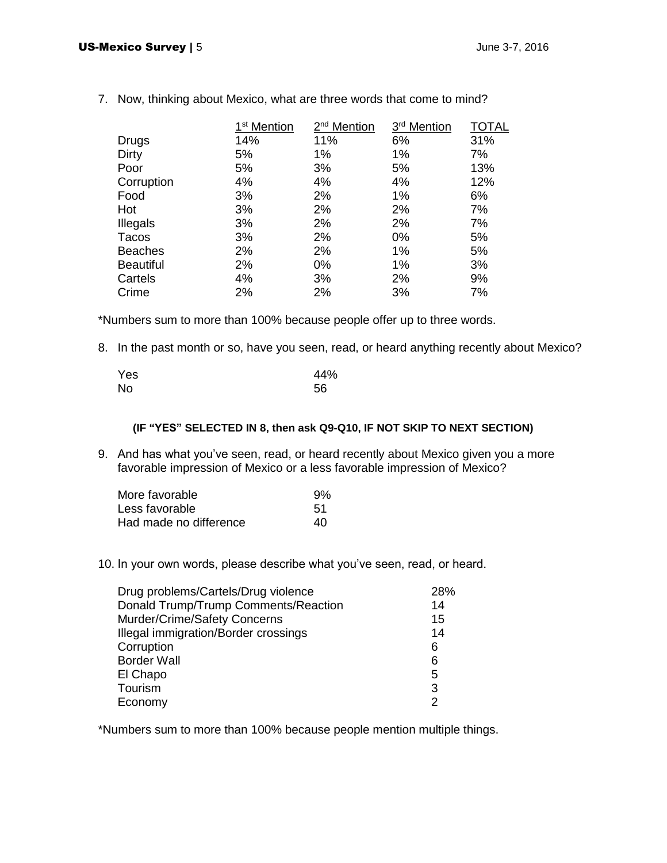|                  | 1 <sup>st</sup> Mention | 2 <sup>nd</sup> Mention | 3 <sup>rd</sup> Mention | <b>TOTAL</b> |
|------------------|-------------------------|-------------------------|-------------------------|--------------|
| Drugs            | 14%                     | 11%                     | 6%                      | 31%          |
| Dirty            | 5%                      | 1%                      | 1%                      | 7%           |
| Poor             | 5%                      | 3%                      | 5%                      | 13%          |
| Corruption       | 4%                      | 4%                      | 4%                      | 12%          |
| Food             | 3%                      | 2%                      | 1%                      | 6%           |
| Hot              | 3%                      | 2%                      | 2%                      | 7%           |
| Illegals         | 3%                      | 2%                      | 2%                      | 7%           |
| Tacos            | 3%                      | 2%                      | $0\%$                   | 5%           |
| <b>Beaches</b>   | 2%                      | 2%                      | 1%                      | 5%           |
| <b>Beautiful</b> | 2%                      | $0\%$                   | 1%                      | 3%           |
| Cartels          | 4%                      | 3%                      | 2%                      | 9%           |
| Crime            | 2%                      | 2%                      | 3%                      | 7%           |

7. Now, thinking about Mexico, what are three words that come to mind?

\*Numbers sum to more than 100% because people offer up to three words.

8. In the past month or so, have you seen, read, or heard anything recently about Mexico?

| Yes | 44% |
|-----|-----|
| No  | 56  |

#### **(IF "YES" SELECTED IN 8, then ask Q9-Q10, IF NOT SKIP TO NEXT SECTION)**

9. And has what you've seen, read, or heard recently about Mexico given you a more favorable impression of Mexico or a less favorable impression of Mexico?

| More favorable         | 9%  |
|------------------------|-----|
| Less favorable         | .51 |
| Had made no difference | 40  |

10. In your own words, please describe what you've seen, read, or heard.

| Drug problems/Cartels/Drug violence  | 28%           |
|--------------------------------------|---------------|
| Donald Trump/Trump Comments/Reaction | 14            |
| Murder/Crime/Safety Concerns         | 15            |
| Illegal immigration/Border crossings | 14            |
| Corruption                           | 6             |
| <b>Border Wall</b>                   | 6             |
| El Chapo                             | 5             |
| Tourism                              | 3             |
| Economy                              | $\mathcal{P}$ |

\*Numbers sum to more than 100% because people mention multiple things.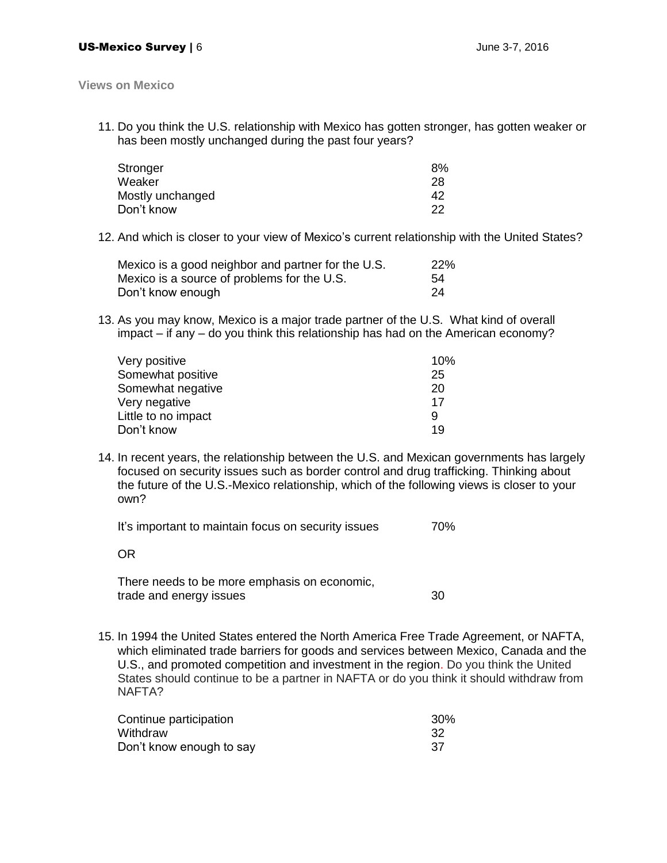**Views on Mexico**

11. Do you think the U.S. relationship with Mexico has gotten stronger, has gotten weaker or has been mostly unchanged during the past four years?

| 8%  |
|-----|
| 28  |
| 42  |
| 22. |
|     |

12. And which is closer to your view of Mexico's current relationship with the United States?

| Mexico is a good neighbor and partner for the U.S. | 22% |
|----------------------------------------------------|-----|
| Mexico is a source of problems for the U.S.        | 54  |
| Don't know enough                                  | -24 |

13. As you may know, Mexico is a major trade partner of the U.S. What kind of overall impact – if any – do you think this relationship has had on the American economy?

| Very positive       | 10% |
|---------------------|-----|
| Somewhat positive   | 25  |
| Somewhat negative   | 20  |
| Very negative       | 17  |
| Little to no impact | 9   |
| Don't know          | 19  |

14. In recent years, the relationship between the U.S. and Mexican governments has largely focused on security issues such as border control and drug trafficking. Thinking about the future of the U.S.-Mexico relationship, which of the following views is closer to your own?

It's important to maintain focus on security issues 70%

There needs to be more emphasis on economic, trade and energy issues 30

15. In 1994 the United States entered the North America Free Trade Agreement, or NAFTA, which eliminated trade barriers for goods and services between Mexico, Canada and the U.S., and promoted competition and investment in the region. Do you think the United States should continue to be a partner in NAFTA or do you think it should withdraw from NAFTA?

| Continue participation   | 30% |
|--------------------------|-----|
| Withdraw                 |     |
| Don't know enough to say |     |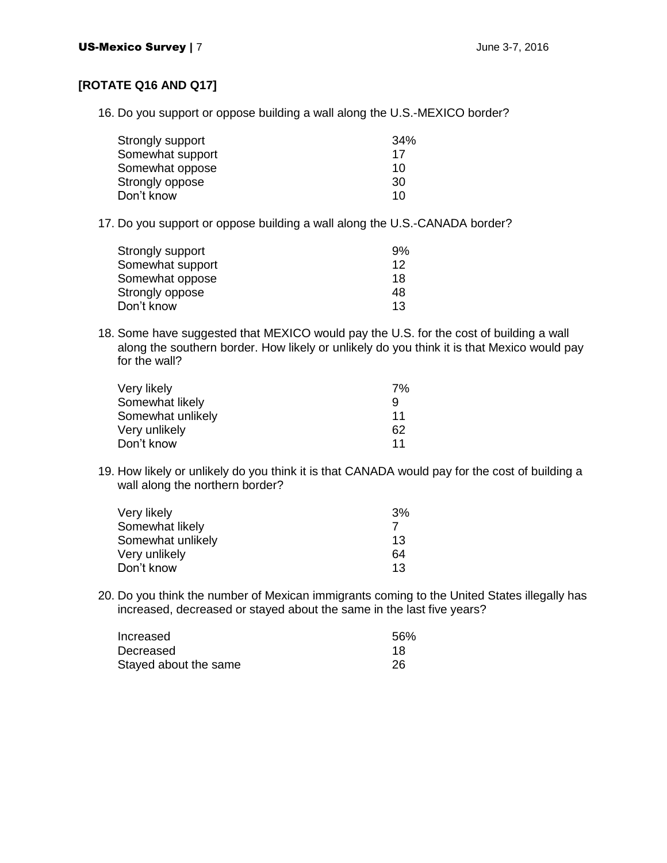## **[ROTATE Q16 AND Q17]**

16. Do you support or oppose building a wall along the U.S.-MEXICO border?

| 34% |
|-----|
| 17  |
| 10  |
| 30  |
| 10  |
|     |

17. Do you support or oppose building a wall along the U.S.-CANADA border?

| Strongly support | 9% |
|------------------|----|
| Somewhat support | 12 |
| Somewhat oppose  | 18 |
| Strongly oppose  | 48 |
| Don't know       | 13 |

18. Some have suggested that MEXICO would pay the U.S. for the cost of building a wall along the southern border. How likely or unlikely do you think it is that Mexico would pay for the wall?

| Very likely       | 7% |
|-------------------|----|
| Somewhat likely   | 9  |
| Somewhat unlikely | 11 |
| Very unlikely     | 62 |
| Don't know        | 11 |

19. How likely or unlikely do you think it is that CANADA would pay for the cost of building a wall along the northern border?

| 3% |
|----|
|    |
| 13 |
| 64 |
| 13 |
|    |

20. Do you think the number of Mexican immigrants coming to the United States illegally has increased, decreased or stayed about the same in the last five years?

| Increased             | 56% |
|-----------------------|-----|
| Decreased             | 18  |
| Stayed about the same | 26  |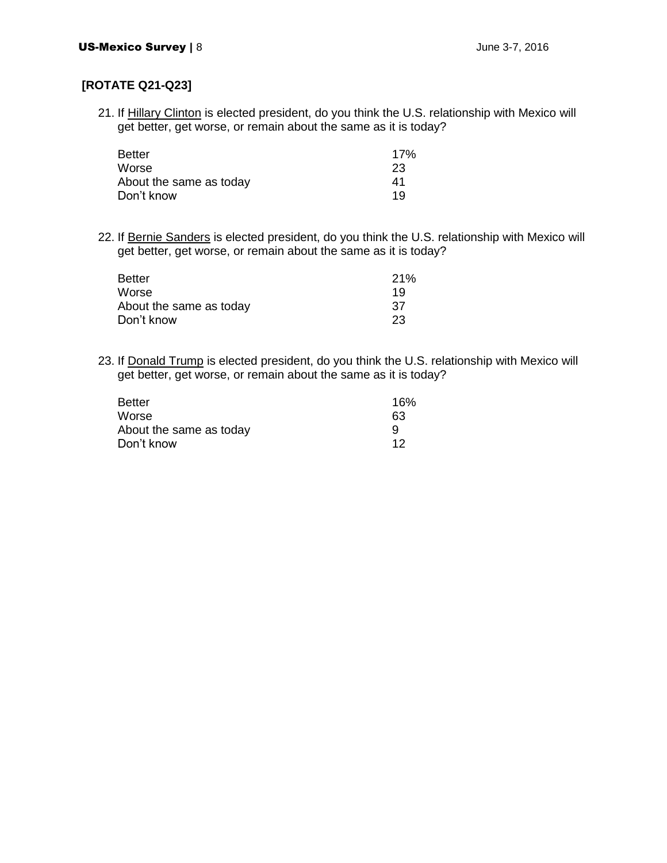### **[ROTATE Q21-Q23]**

21. If Hillary Clinton is elected president, do you think the U.S. relationship with Mexico will get better, get worse, or remain about the same as it is today?

| <b>Better</b>           | 17% |
|-------------------------|-----|
| Worse                   | 23  |
| About the same as today | 41  |
| Don't know              | 1 Q |

22. If Bernie Sanders is elected president, do you think the U.S. relationship with Mexico will get better, get worse, or remain about the same as it is today?

| <b>Better</b>           | 21% |
|-------------------------|-----|
| Worse                   | 19  |
| About the same as today | 37  |
| Don't know              | 23  |

23. If Donald Trump is elected president, do you think the U.S. relationship with Mexico will get better, get worse, or remain about the same as it is today?

| <b>Better</b>           | 16% |
|-------------------------|-----|
| Worse                   | 63  |
| About the same as today |     |
| Don't know              | 12  |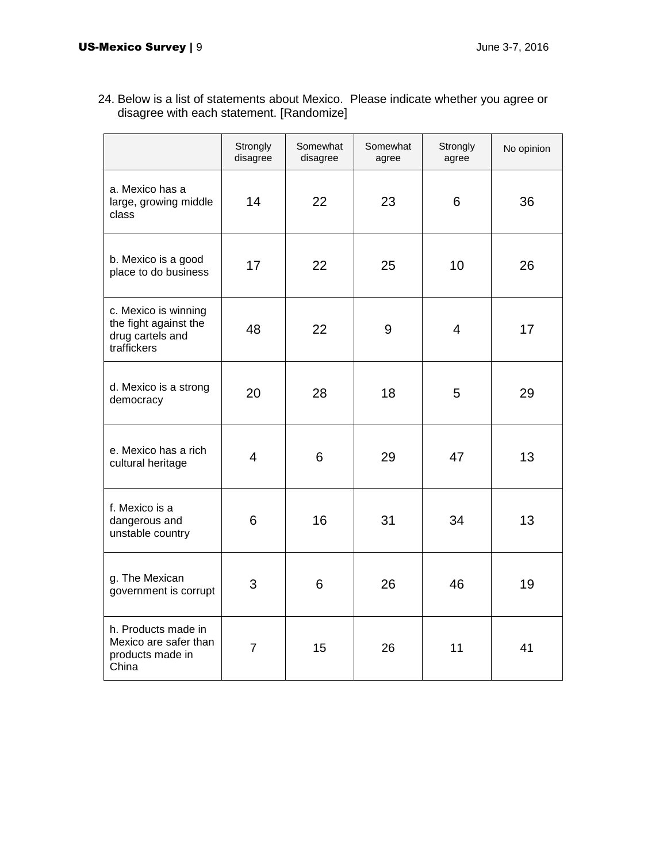|                                                                                  | Strongly<br>disagree | Somewhat<br>disagree | Somewhat<br>agree | Strongly<br>agree | No opinion |
|----------------------------------------------------------------------------------|----------------------|----------------------|-------------------|-------------------|------------|
| a. Mexico has a<br>large, growing middle<br>class                                | 14                   | 22                   | 23                | 6                 | 36         |
| b. Mexico is a good<br>place to do business                                      | 17                   | 22                   | 25                | 10                | 26         |
| c. Mexico is winning<br>the fight against the<br>drug cartels and<br>traffickers | 48                   | 22                   | 9                 | $\overline{4}$    | 17         |
| d. Mexico is a strong<br>democracy                                               | 20                   | 28                   | 18                | 5                 | 29         |
| e. Mexico has a rich<br>cultural heritage                                        | 4                    | 6                    | 29                | 47                | 13         |
| f. Mexico is a<br>dangerous and<br>unstable country                              | 6                    | 16                   | 31                | 34                | 13         |
| g. The Mexican<br>government is corrupt                                          | 3                    | 6                    | 26                | 46                | 19         |
| h. Products made in<br>Mexico are safer than<br>products made in<br>China        | $\overline{7}$       | 15                   | 26                | 11                | 41         |

24. Below is a list of statements about Mexico. Please indicate whether you agree or disagree with each statement. [Randomize]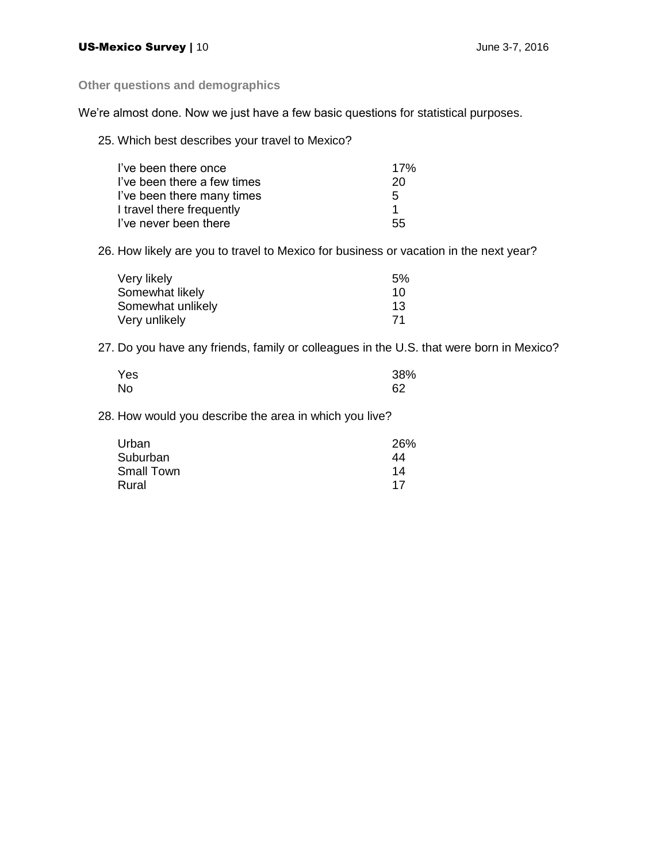**Other questions and demographics**

We're almost done. Now we just have a few basic questions for statistical purposes.

25. Which best describes your travel to Mexico?

| I've been there once        | 17% |
|-----------------------------|-----|
| I've been there a few times | 20  |
| I've been there many times  | 5   |
| I travel there frequently   |     |
| I've never been there       | 55  |

26. How likely are you to travel to Mexico for business or vacation in the next year?

| Very likely       | 5%              |
|-------------------|-----------------|
| Somewhat likely   | 10.             |
| Somewhat unlikely | 13 <sup>°</sup> |
| Very unlikely     | 71              |

27. Do you have any friends, family or colleagues in the U.S. that were born in Mexico?

| Yes | 38% |
|-----|-----|
| No  | 62  |

28. How would you describe the area in which you live?

| Urban             | 26% |
|-------------------|-----|
| Suburban          | 44  |
| <b>Small Town</b> | 14  |
| Rural             | 17  |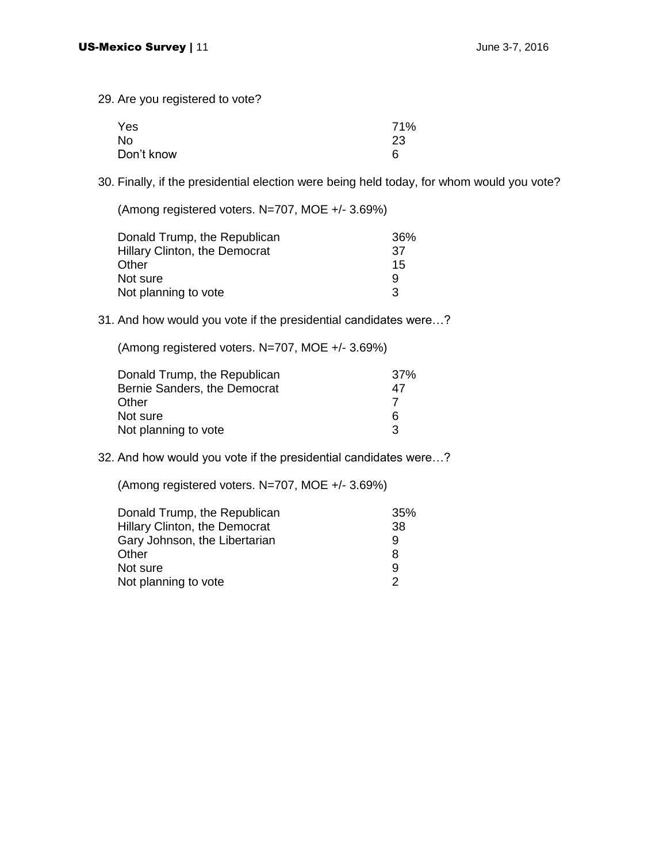29. Are you registered to vote?

| Yes        | 71% |
|------------|-----|
| No         | 23  |
| Don't know | 6   |

30. Finally, if the presidential election were being held today, for whom would you vote?

(Among registered voters. N=707, MOE +/- 3.69%)

| Donald Trump, the Republican  | 36% |
|-------------------------------|-----|
| Hillary Clinton, the Democrat | .37 |
| Other                         | 15  |
| Not sure                      | 9   |
| Not planning to vote          | 3   |

#### 31. And how would you vote if the presidential candidates were…?

(Among registered voters. N=707, MOE +/- 3.69%)

| Donald Trump, the Republican | 37% |
|------------------------------|-----|
| Bernie Sanders, the Democrat | 47  |
| Other                        |     |
| Not sure                     | 6   |
| Not planning to vote         | з   |

#### 32. And how would you vote if the presidential candidates were…?

(Among registered voters. N=707, MOE +/- 3.69%)

| Donald Trump, the Republican  | 35% |
|-------------------------------|-----|
| Hillary Clinton, the Democrat | 38  |
| Gary Johnson, the Libertarian | 9   |
| Other                         | 8   |
| Not sure                      | 9   |
| Not planning to vote          | 2   |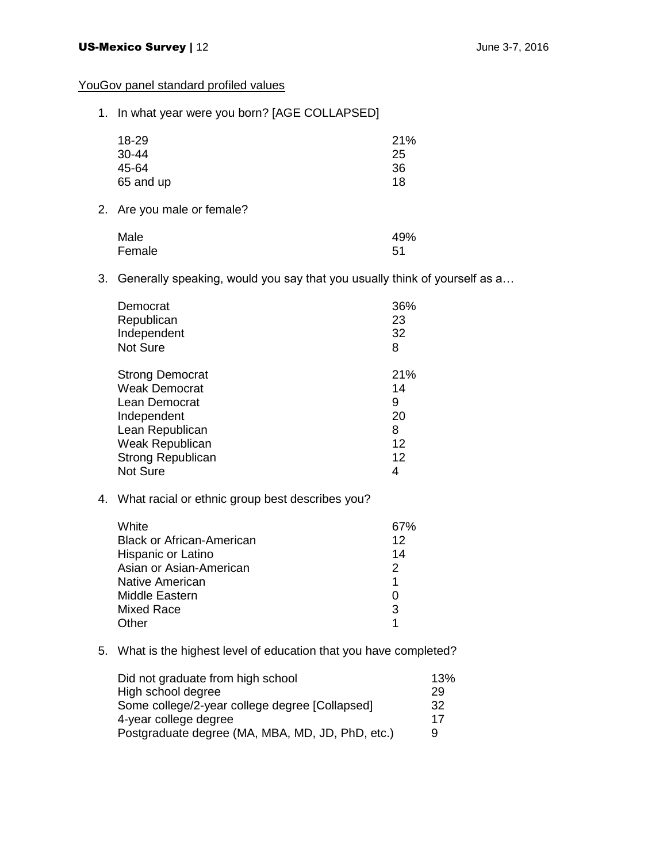## YouGov panel standard profiled values

1. In what year were you born? [AGE COLLAPSED]

| 18-29     | 21% |
|-----------|-----|
| $30 - 44$ | 25  |
| 45-64     | 36  |
| 65 and up | 18  |

2. Are you male or female?

| Male   | 49% |
|--------|-----|
| Female | -51 |

3. Generally speaking, would you say that you usually think of yourself as a…

| Democrat                 | 36% |
|--------------------------|-----|
| Republican               | 23  |
| Independent              | 32  |
| <b>Not Sure</b>          | 8   |
| <b>Strong Democrat</b>   | 21% |
| <b>Weak Democrat</b>     | 14  |
| Lean Democrat            | 9   |
| Independent              | 20  |
| Lean Republican          | 8   |
| Weak Republican          | 12  |
| <b>Strong Republican</b> | 12  |
| <b>Not Sure</b>          | 4   |

4. What racial or ethnic group best describes you?

| White                            | 67% |
|----------------------------------|-----|
| <b>Black or African-American</b> | 12  |
| Hispanic or Latino               | 14  |
| Asian or Asian-American          | 2   |
| Native American                  | 1   |
| Middle Eastern                   | O   |
| <b>Mixed Race</b>                | 3   |
| )ther                            |     |

5. What is the highest level of education that you have completed?

| Did not graduate from high school                | 13% |
|--------------------------------------------------|-----|
| High school degree                               | 29  |
| Some college/2-year college degree [Collapsed]   | 32  |
| 4-year college degree                            | 17  |
| Postgraduate degree (MA, MBA, MD, JD, PhD, etc.) | 9   |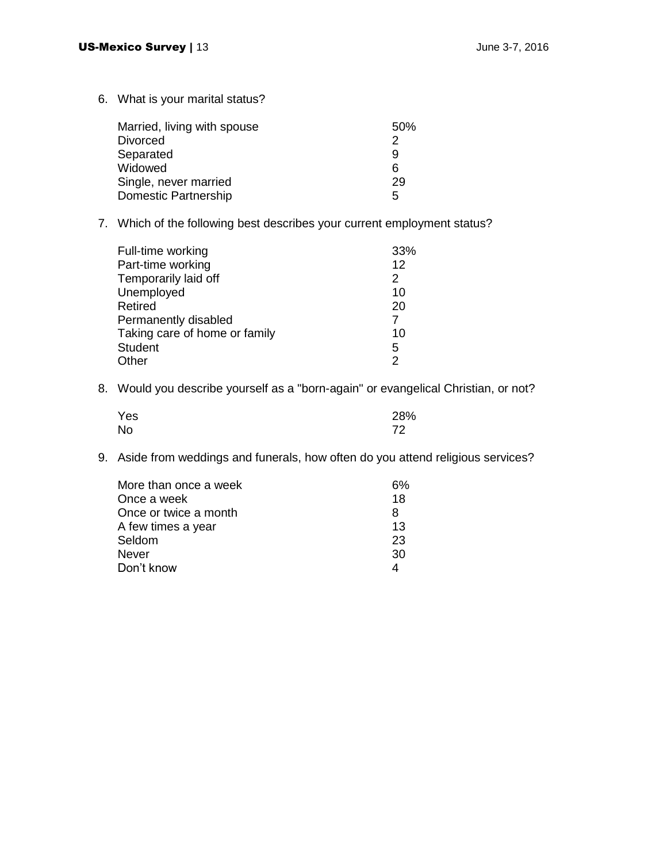6. What is your marital status?

| Married, living with spouse | 50% |
|-----------------------------|-----|
| <b>Divorced</b>             | 2   |
| Separated                   | 9   |
| Widowed                     | 6   |
| Single, never married       | 29  |
| Domestic Partnership        | 5   |

7. Which of the following best describes your current employment status?

| Full-time working             | 33%           |
|-------------------------------|---------------|
| Part-time working             | 12            |
| Temporarily laid off          | 2             |
| Unemployed                    | 10            |
| Retired                       | 20            |
| Permanently disabled          | 7             |
| Taking care of home or family | 10            |
| <b>Student</b>                | 5             |
| Other                         | $\mathcal{P}$ |

8. Would you describe yourself as a "born-again" or evangelical Christian, or not?

| Yes       | 28% |
|-----------|-----|
| <b>No</b> | 72  |

9. Aside from weddings and funerals, how often do you attend religious services?

| 6% |
|----|
| 18 |
| 8  |
| 13 |
| 23 |
| 30 |
|    |
|    |